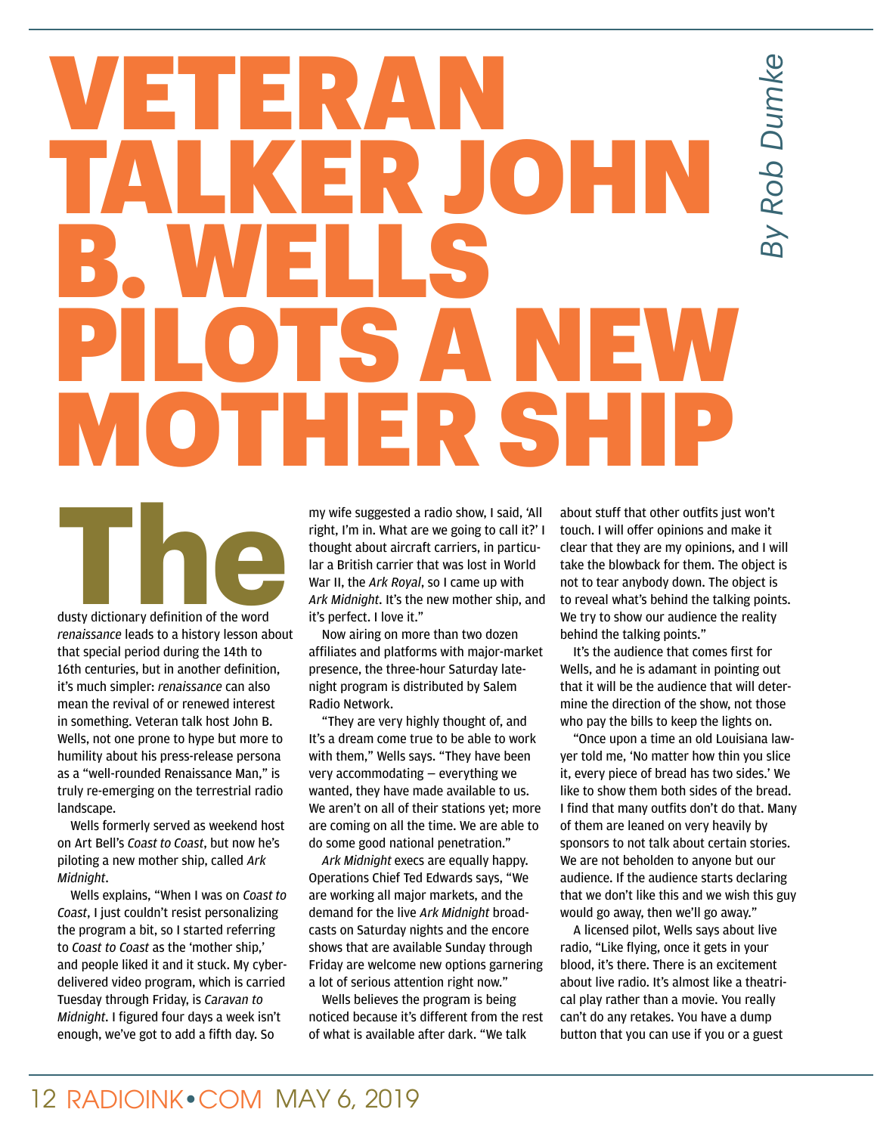## *By Rob Dumke* By Rob Dumke

## VETERAN TALKER JOHN B. WELLS PILOTS A NEW MOTHER SHIP

**There**<br> **There**<br> **There**<br> **There**<br> **There**<br> **There**<br> **There**<br> **There**<br> **There**<br> **There**<br> **There**<br> **There**<br> **There**<br> **There**<br> **There**<br> **There**<br> **There**<br> **There**<br> **There**<br> **There**<br> **There**<br> **There**<br> **There**<br> **There**<br> **There** dusty dictionary definition of the word

*renaissance* leads to a history lesson about that special period during the 14th to 16th centuries, but in another definition, it's much simpler: *renaissance* can also mean the revival of or renewed interest in something. Veteran talk host John B. Wells, not one prone to hype but more to humility about his press-release persona as a "well-rounded Renaissance Man," is truly re-emerging on the terrestrial radio landscape.

Wells formerly served as weekend host on Art Bell's *Coast to Coast*, but now he's piloting a new mother ship, called *Ark Midnight*.

Wells explains, "When I was on *Coast to Coast*, I just couldn't resist personalizing the program a bit, so I started referring to *Coast to Coast* as the 'mother ship,' and people liked it and it stuck. My cyberdelivered video program, which is carried Tuesday through Friday, is *Caravan to Midnight*. I figured four days a week isn't enough, we've got to add a fifth day. So

my wife suggested a radio show, I said, 'All right, I'm in. What are we going to call it?' I thought about aircraft carriers, in particular a British carrier that was lost in World War II, the *Ark Royal*, so I came up with *Ark Midnight*. It's the new mother ship, and it's perfect. I love it."

Now airing on more than two dozen affiliates and platforms with major-market presence, the three-hour Saturday latenight program is distributed by Salem Radio Network.

"They are very highly thought of, and It's a dream come true to be able to work with them," Wells says. "They have been very accommodating — everything we wanted, they have made available to us. We aren't on all of their stations yet; more are coming on all the time. We are able to do some good national penetration."

*Ark Midnight* execs are equally happy. Operations Chief Ted Edwards says, "We are working all major markets, and the demand for the live *Ark Midnight* broadcasts on Saturday nights and the encore shows that are available Sunday through Friday are welcome new options garnering a lot of serious attention right now."

Wells believes the program is being noticed because it's different from the rest of what is available after dark. "We talk

about stuff that other outfits just won't touch. I will offer opinions and make it clear that they are my opinions, and I will take the blowback for them. The object is not to tear anybody down. The object is to reveal what's behind the talking points. We try to show our audience the reality behind the talking points."

It's the audience that comes first for Wells, and he is adamant in pointing out that it will be the audience that will determine the direction of the show, not those who pay the bills to keep the lights on.

"Once upon a time an old Louisiana lawyer told me, 'No matter how thin you slice it, every piece of bread has two sides.' We like to show them both sides of the bread. I find that many outfits don't do that. Many of them are leaned on very heavily by sponsors to not talk about certain stories. We are not beholden to anyone but our audience. If the audience starts declaring that we don't like this and we wish this guy would go away, then we'll go away."

A licensed pilot, Wells says about live radio, "Like flying, once it gets in your blood, it's there. There is an excitement about live radio. It's almost like a theatrical play rather than a movie. You really can't do any retakes. You have a dump button that you can use if you or a guest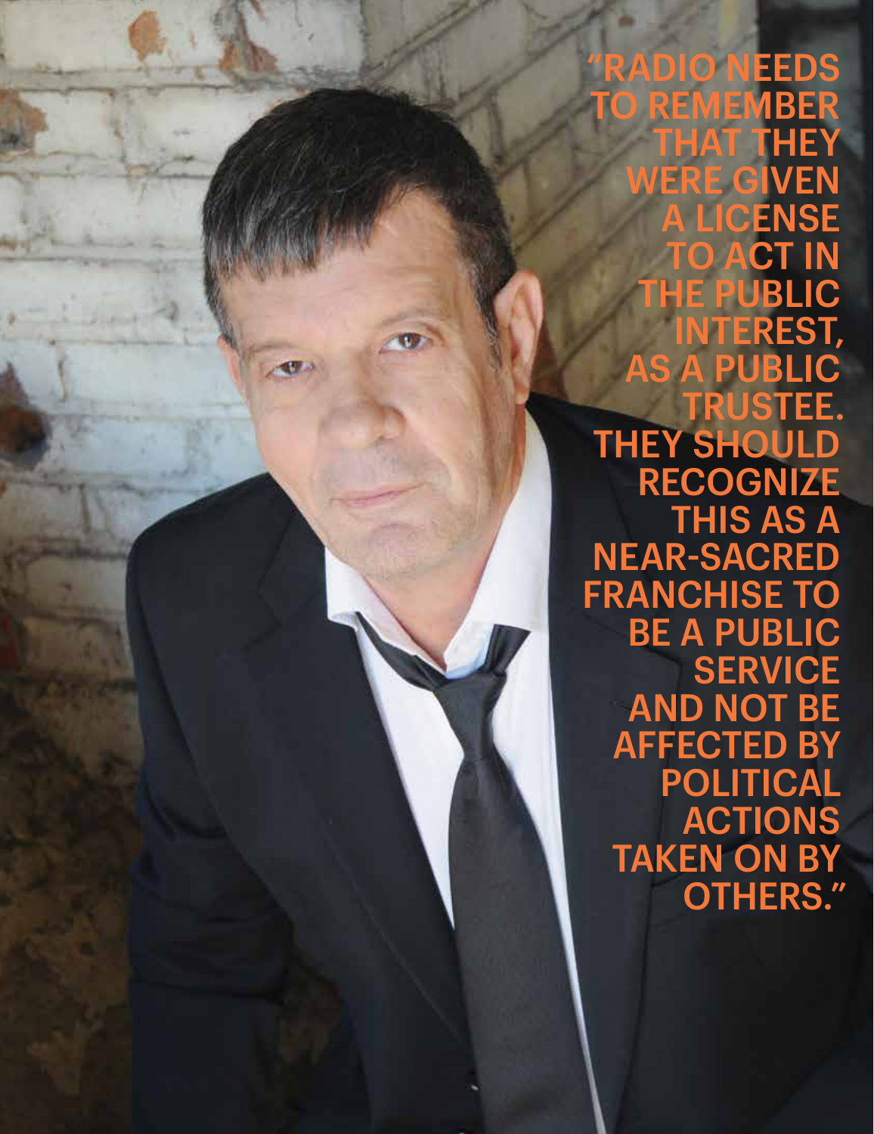RADIO NEEDS REMEMBER HAT THEY **ERE GIVEN CENSE** CT IN E PUBLIC ITEREST, AS A PUBLIC TRUSTEE. THEY SHOULD **RECOGNIZE** THIS AS A NEAR-SACRED FRANCHISE TO BE A PUBLIC **SERVICE** AND NOT BE AFFECTED BY POLITICAL ACTIONS TAKEN ON BY OTHERS."

MAY 6, 2019 RADIOINK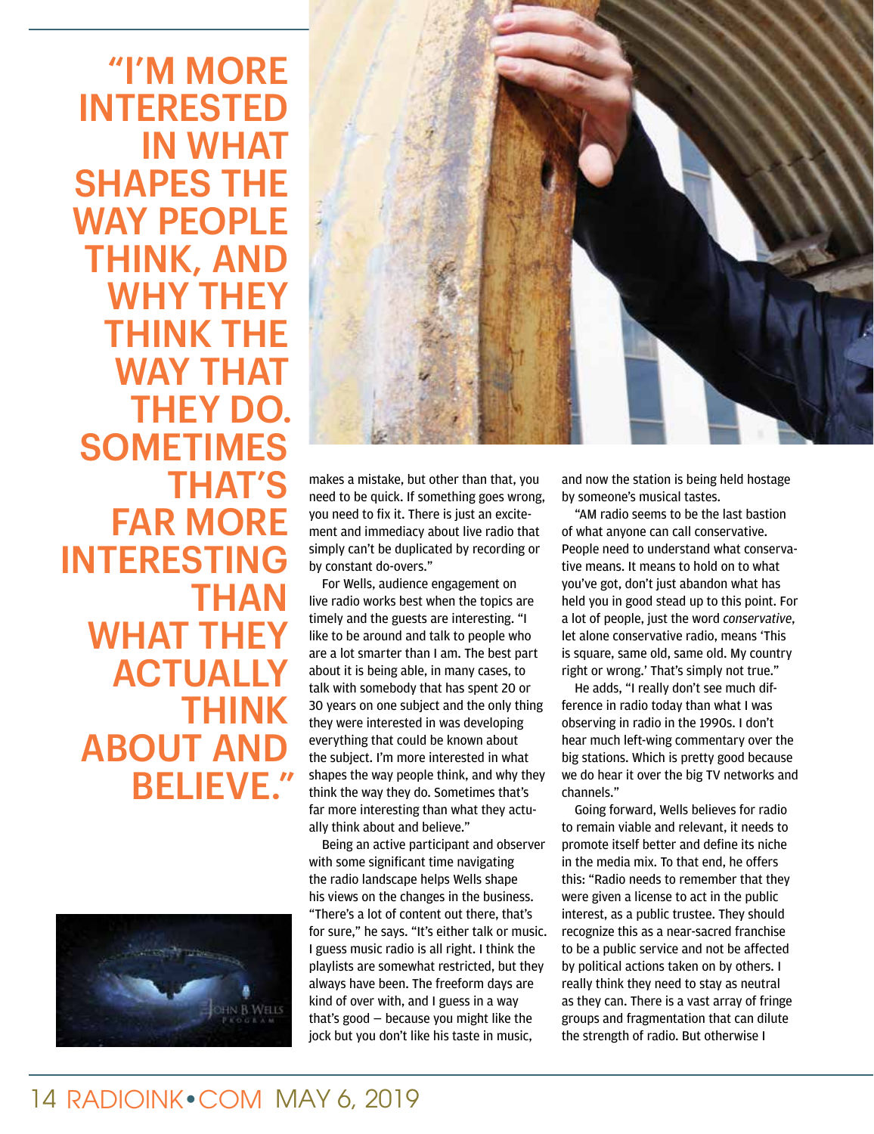"I'M MORE INTERESTED IN WHAT SHAPES THE WAY PEOPLE THINK, AND WHY THEY THINK THE WAY THAT THEY DO. SOMETIMES THAT'S FAR MORE INTERESTING THAN WHAT THEY **ACTUALLY** THINK ABOUT AND BELIEVE."





makes a mistake, but other than that, you need to be quick. If something goes wrong, you need to fix it. There is just an excitement and immediacy about live radio that simply can't be duplicated by recording or by constant do-overs."

For Wells, audience engagement on live radio works best when the topics are timely and the guests are interesting. "I like to be around and talk to people who are a lot smarter than I am. The best part about it is being able, in many cases, to talk with somebody that has spent 20 or 30 years on one subject and the only thing they were interested in was developing everything that could be known about the subject. I'm more interested in what shapes the way people think, and why they think the way they do. Sometimes that's far more interesting than what they actually think about and believe."

Being an active participant and observer with some significant time navigating the radio landscape helps Wells shape his views on the changes in the business. "There's a lot of content out there, that's for sure," he says. "It's either talk or music. I guess music radio is all right. I think the playlists are somewhat restricted, but they always have been. The freeform days are kind of over with, and I guess in a way that's good — because you might like the jock but you don't like his taste in music,

and now the station is being held hostage by someone's musical tastes.

"AM radio seems to be the last bastion of what anyone can call conservative. People need to understand what conservative means. It means to hold on to what you've got, don't just abandon what has held you in good stead up to this point. For a lot of people, just the word *conservative*, let alone conservative radio, means 'This is square, same old, same old. My country right or wrong.' That's simply not true."

He adds, "I really don't see much difference in radio today than what I was observing in radio in the 1990s. I don't hear much left-wing commentary over the big stations. Which is pretty good because we do hear it over the big TV networks and channels."

Going forward, Wells believes for radio to remain viable and relevant, it needs to promote itself better and define its niche in the media mix. To that end, he offers this: "Radio needs to remember that they were given a license to act in the public interest, as a public trustee. They should recognize this as a near-sacred franchise to be a public service and not be affected by political actions taken on by others. I really think they need to stay as neutral as they can. There is a vast array of fringe groups and fragmentation that can dilute the strength of radio. But otherwise I